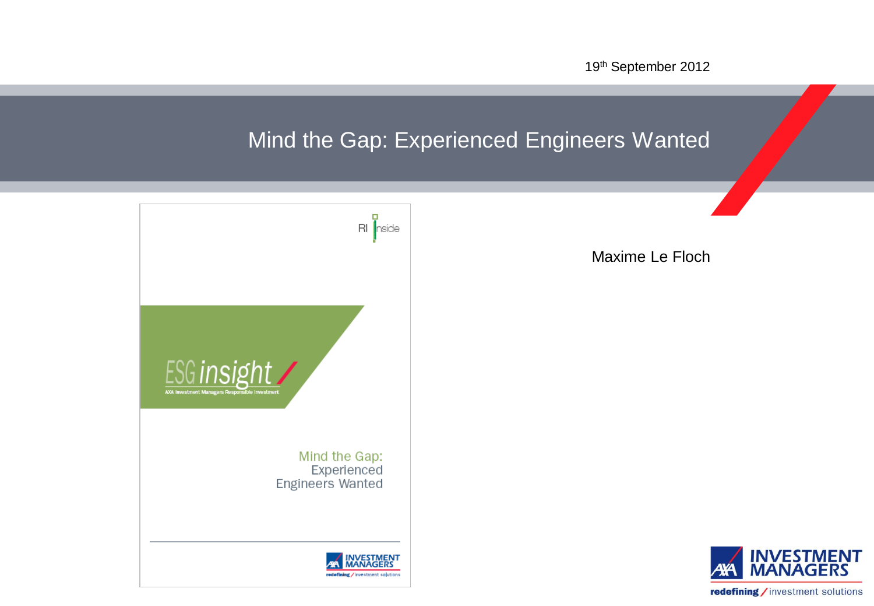19th September 2012

# Mind the Gap: Experienced Engineers Wanted



Maxime Le Floch

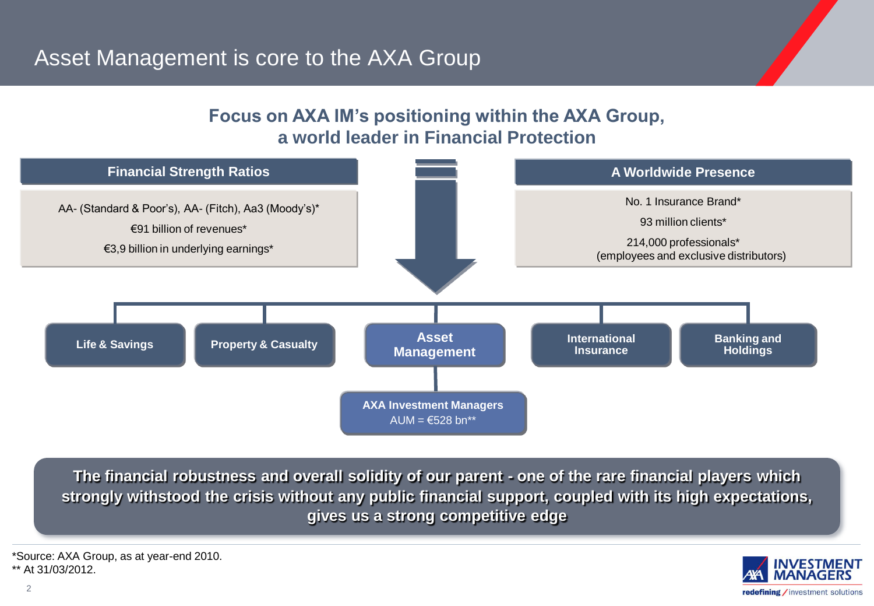### **Focus on AXA IM's positioning within the AXA Group, a world leader in Financial Protection**



**The financial robustness and overall solidity of our parent - one of the rare financial players which strongly withstood the crisis without any public financial support, coupled with its high expectations, gives us a strong competitive edge**



\*Source: AXA Group, as at year-end 2010. \*\* At 31/03/2012.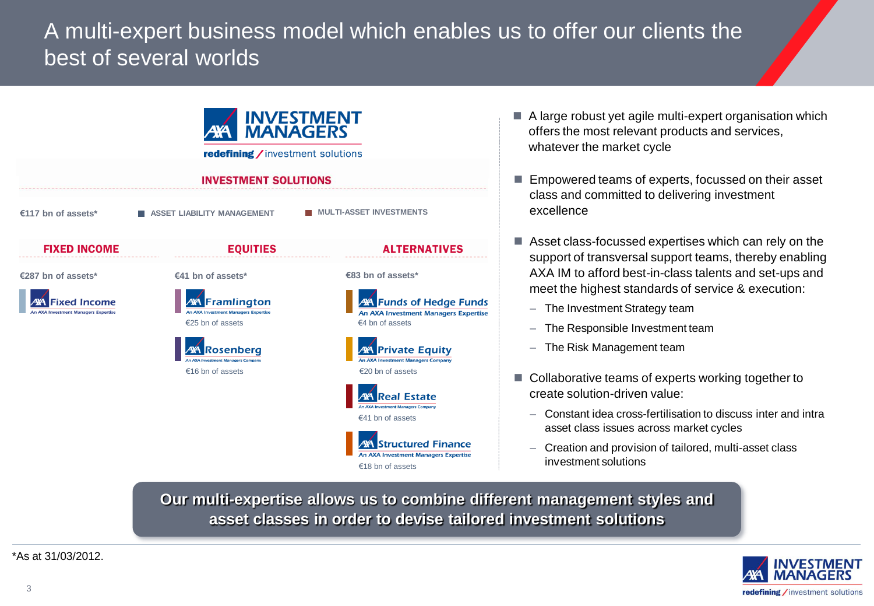# A multi-expert business model which enables us to offer our clients the best of several worlds



- A large robust yet agile multi-expert organisation which offers the most relevant products and services, whatever the market cycle
- Empowered teams of experts, focussed on their asset class and committed to delivering investment excellence
- Asset class-focussed expertises which can rely on the support of transversal support teams, thereby enabling AXA IM to afford best-in-class talents and set-ups and meet the highest standards of service & execution:
	- The Investment Strategy team
	- The Responsible Investment team
	- The Risk Management team
- Collaborative teams of experts working together to create solution-driven value:
	- Constant idea cross-fertilisation to discuss inter and intra asset class issues across market cycles
	- Creation and provision of tailored, multi-asset class investment solutions

**Our multi-expertise allows us to combine different management styles and asset classes in order to devise tailored investment solutions**



\*As at 31/03/2012.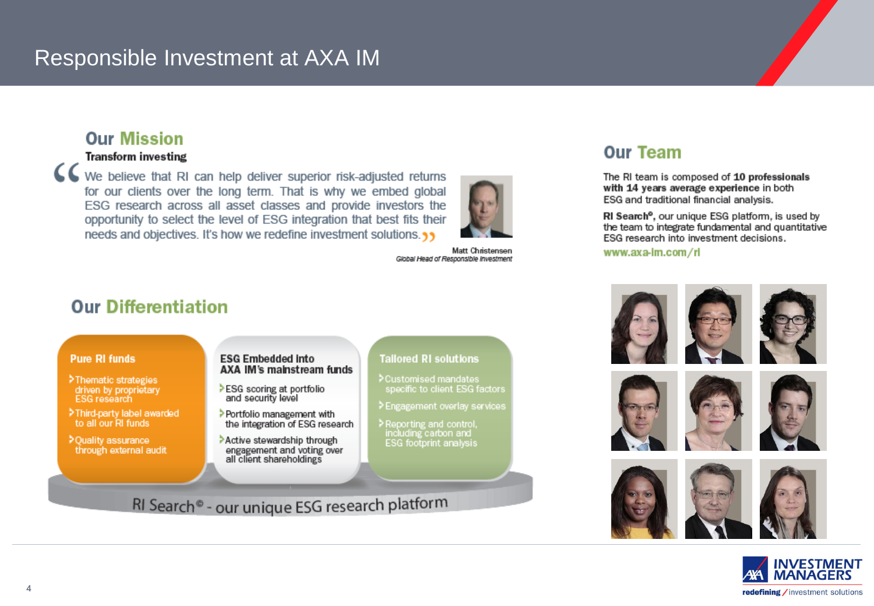## Responsible Investment at AXA IM

### **Our Mission**

#### **Transform investing**

CC We believe that RI can help deliver superior risk-adjusted returns for our clients over the long term. That is why we embed global ESG research across all asset classes and provide investors the opportunity to select the level of ESG integration that best fits their needs and objectives. It's how we redefine investment solutions.



Matt Christensen Global Head of Responsible Investment

### **Our Differentiation**

#### **Pure RI funds**

- >Thematic strategies driven by proprietary<br>ESG research
- >Third-party label awarded to all our RI funds
- >Ouality assurance through external audit

#### **ESG Embedded Into** AXA IM's mainstream funds

- >ESG scoring at portfolio and security level
- > Portfolio management with the integration of ESG research
- Active stewardship through engagement and voting over all client shareholdings

#### **Tailored RI solutions**

- >Customised mandates specific to client ESG factors
- > Engagement overlay services
- > Reporting and control, including carbon and ESG footprint analysis

### RI Search® - our unique ESG research platform

### **Our Team**

The RI team is composed of 10 professionals with 14 years average experience in both ESG and traditional financial analysis.

RI Search<sup>o</sup>, our unique ESG platform, is used by the team to integrate fundamental and quantitative ESG research into investment decisions.

www.axa-im.com/ri



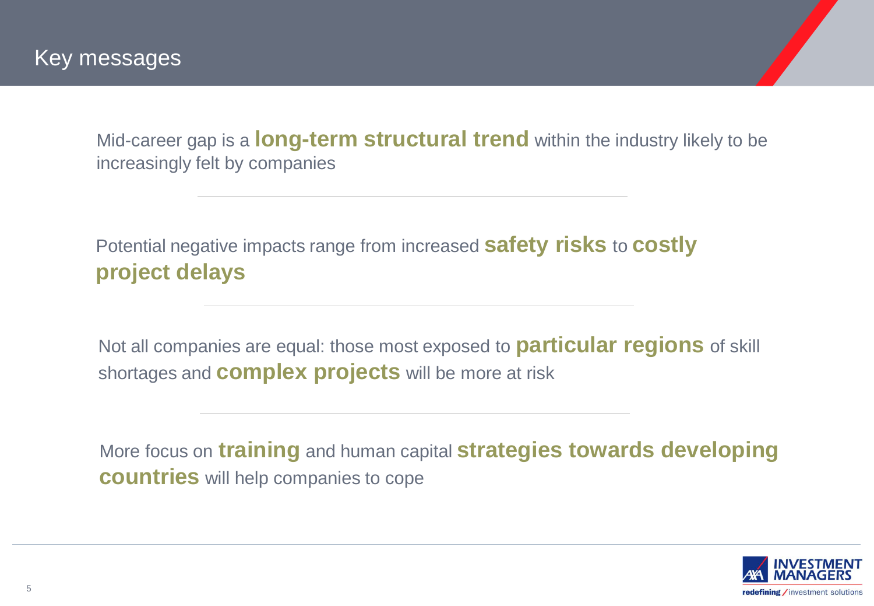Mid-career gap is a **long-term structural trend** within the industry likely to be increasingly felt by companies

Potential negative impacts range from increased **safety risks** to **costly project delays**

Not all companies are equal: those most exposed to **particular regions** of skill shortages and **complex projects** will be more at risk

More focus on **training** and human capital **strategies towards developing countries** will help companies to cope

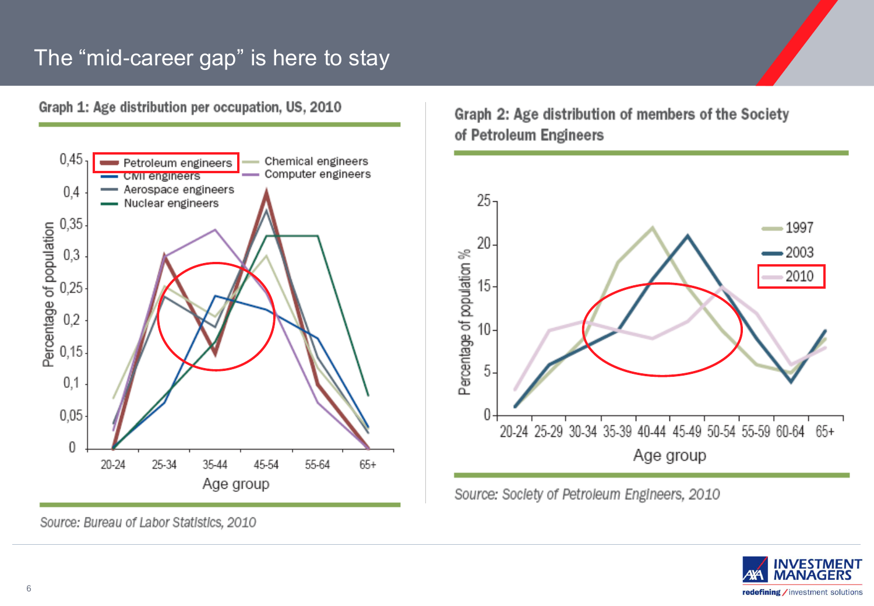# The "mid-career gap" is here to stay

Graph 1: Age distribution per occupation, US, 2010



Graph 2: Age distribution of members of the Society of Petroleum Engineers



Source: Society of Petroleum Engineers, 2010



Source: Bureau of Labor Statistics, 2010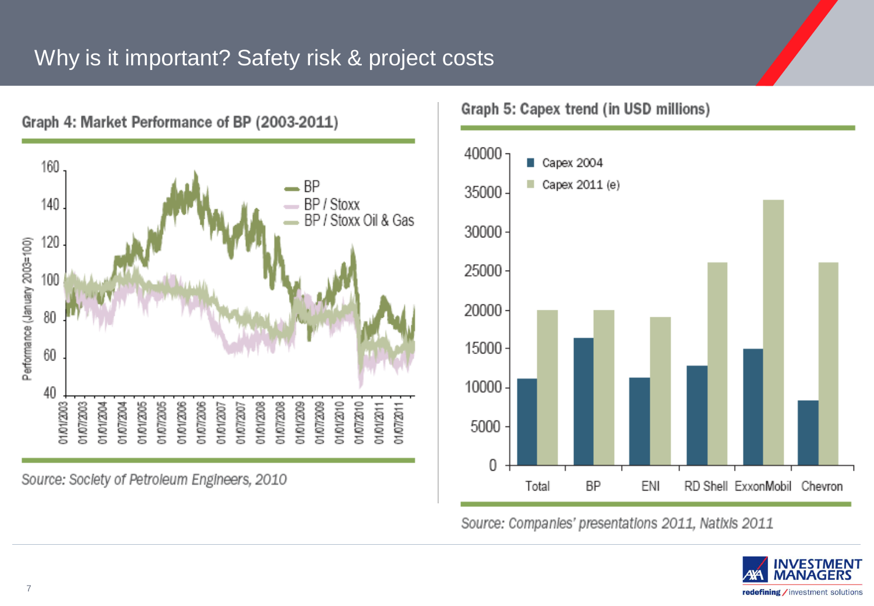## Why is it important? Safety risk & project costs



Source: Society of Petroleum Engineers, 2010

Graph 5: Capex trend (in USD millions)



Source: Companies' presentations 2011, Natixis 2011



7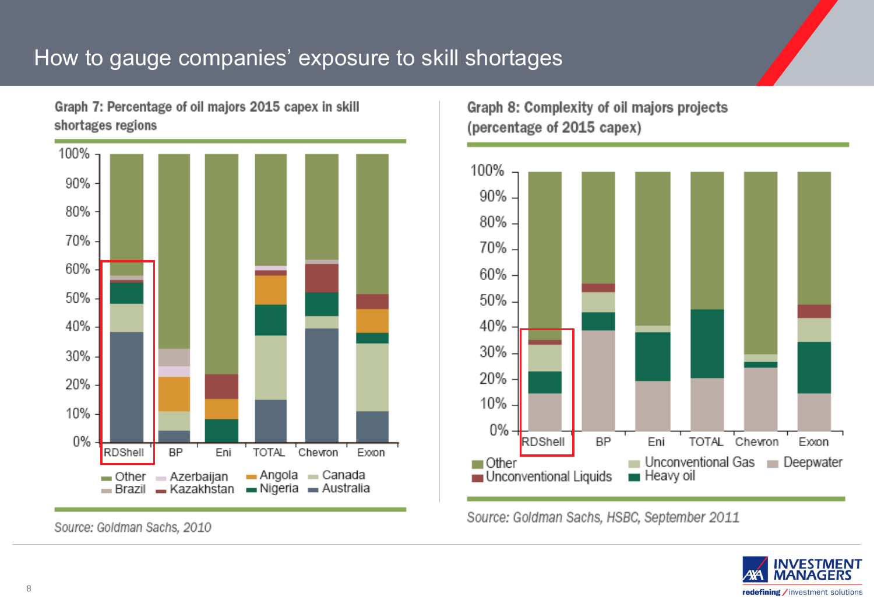## How to gauge companies' exposure to skill shortages

Graph 7: Percentage of oil majors 2015 capex in skill shortages regions



Source: Goldman Sachs, 2010

Graph 8: Complexity of oil majors projects (percentage of 2015 capex)



Source: Goldman Sachs, HSBC, September 2011

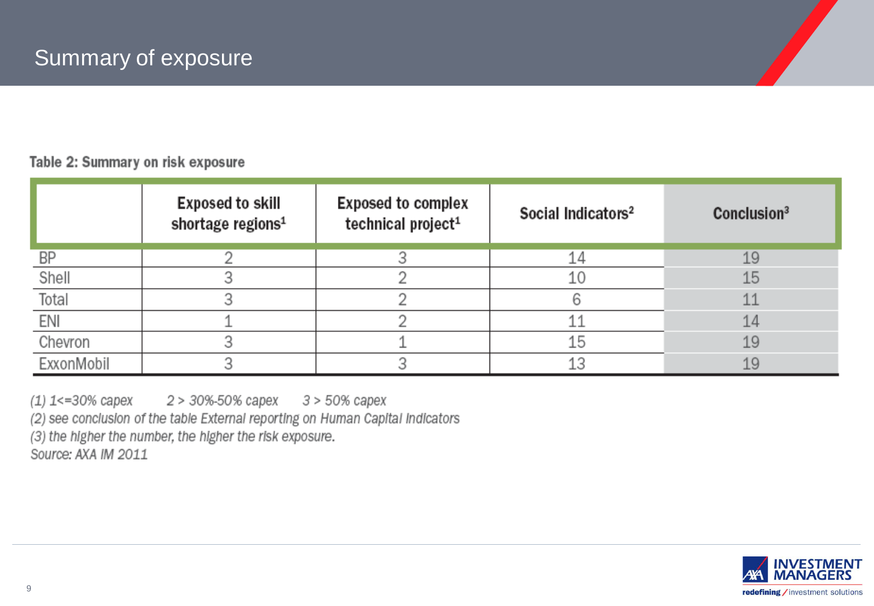#### Table 2: Summary on risk exposure

|            | <b>Exposed to skill</b><br>shortage regions <sup>1</sup> | <b>Exposed to complex</b><br>technical project <sup>1</sup> | Social Indicators <sup>2</sup> | Conclusion <sup>3</sup> |
|------------|----------------------------------------------------------|-------------------------------------------------------------|--------------------------------|-------------------------|
| BP         |                                                          |                                                             | 14                             | 19                      |
| Shell      |                                                          |                                                             | 10                             | 15                      |
| Total      |                                                          |                                                             |                                | 11                      |
| ENI        |                                                          |                                                             |                                | 14                      |
| Chevron    |                                                          |                                                             | 15                             | 19                      |
| ExxonMobil |                                                          |                                                             | 13                             | 19                      |

(1) 1<=30% capex 2 > 30%-50% capex 3 > 50% capex

(2) see conclusion of the table External reporting on Human Capital Indicators

(3) the higher the number, the higher the risk exposure.

Source: AXA IM 2011

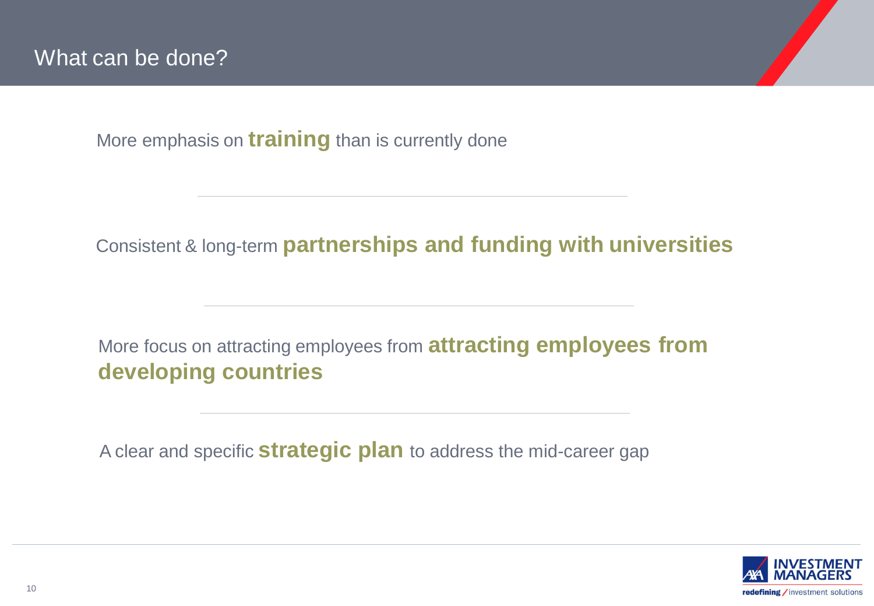More emphasis on **training** than is currently done

### Consistent & long-term **partnerships and funding with universities**

### More focus on attracting employees from **attracting employees from developing countries**

A clear and specific **strategic plan** to address the mid-career gap

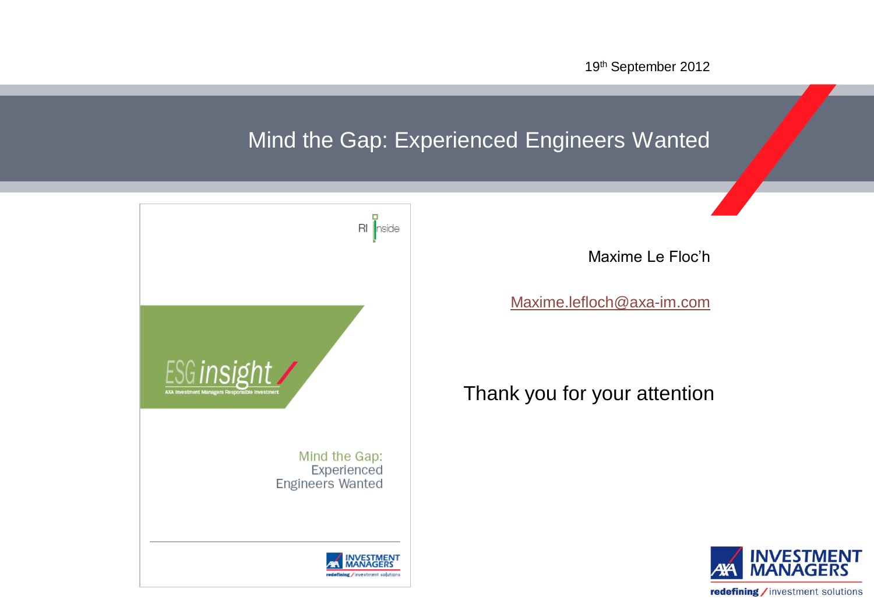19th September 2012

## Mind the Gap: Experienced Engineers Wanted



Maxime Le Floc'h

[Maxime.lefloch@axa-im.com](mailto:Maxime.lefloch@axa-im.com)

Thank you for your attention